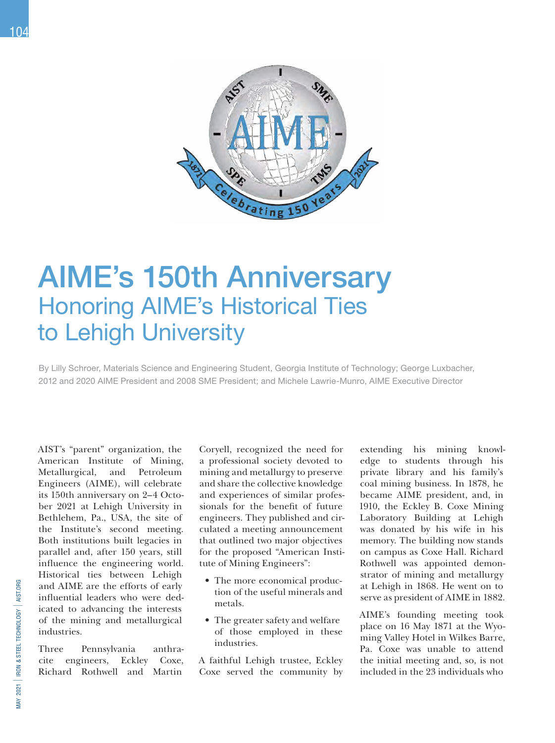104



## AIME's 150th Anniversary Honoring AIME's Historical Ties to Lehigh University

By Lilly Schroer, Materials Science and Engineering Student, Georgia Institute of Technology; George Luxbacher, 2012 and 2020 AIME President and 2008 SME President; and Michele Lawrie-Munro, AIME Executive Director

AIST's "parent" organization, the American Institute of Mining, Metallurgical, and Petroleum Engineers (AIME), will celebrate its 150th anniversary on 2–4 October 2021 at Lehigh University in Bethlehem, Pa., USA, the site of the Institute's second meeting. Both institutions built legacies in parallel and, after 150 years, still influence the engineering world. Historical ties between Lehigh and AIME are the efforts of early influential leaders who were dedicated to advancing the interests of the mining and metallurgical industries.

Three Pennsylvania anthracite engineers, Eckley Coxe, Richard Rothwell and Martin

Coryell, recognized the need for a professional society devoted to mining and metallurgy to preserve and share the collective knowledge and experiences of similar professionals for the benefit of future engineers. They published and circulated a meeting announcement that outlined two major objectives for the proposed "American Institute of Mining Engineers":

- The more economical production of the useful minerals and metals.
- The greater safety and welfare of those employed in these industries.

A faithful Lehigh trustee, Eckley Coxe served the community by

extending his mining knowledge to students through his private library and his family's coal mining business. In 1878, he became AIME president, and, in 1910, the Eckley B. Coxe Mining Laboratory Building at Lehigh was donated by his wife in his memory. The building now stands on campus as Coxe Hall. Richard Rothwell was appointed demonstrator of mining and metallurgy at Lehigh in 1868. He went on to serve as president of AIME in 1882.

AIME's founding meeting took place on 16 May 1871 at the Wyoming Valley Hotel in Wilkes Barre, Pa. Coxe was unable to attend the initial meeting and, so, is not included in the 23 individuals who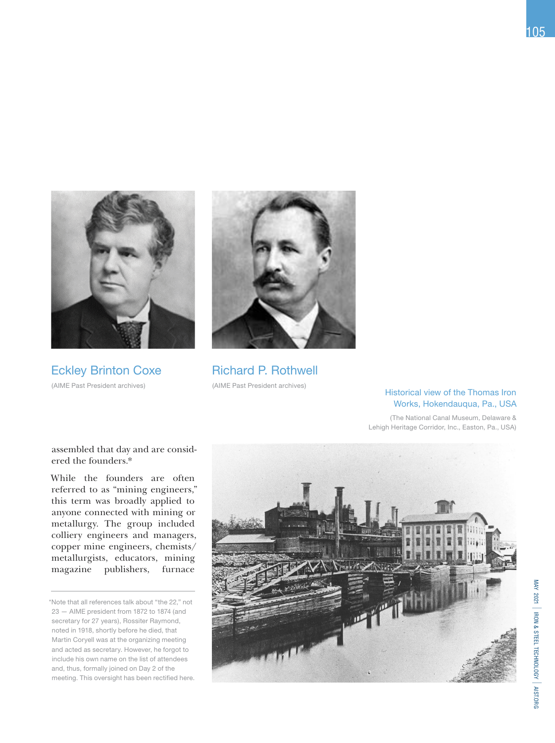

Eckley Brinton Coxe (AIME Past President archives)



Richard P. Rothwell (AIME Past President archives)

## Historical view of the Thomas Iron Works, Hokendauqua, Pa., USA

(The National Canal Museum, Delaware & Lehigh Heritage Corridor, Inc., Easton, Pa., USA)

assembled that day and are considered the founders.\*

While the founders are often referred to as "mining engineers," this term was broadly applied to anyone connected with mining or metallurgy. The group included colliery engineers and managers, copper mine engineers, chemists/ metallurgists, educators, mining magazine publishers, furnace

<sup>\*</sup>Note that all references talk about "the 22," not 23 — AIME president from 1872 to 1874 (and secretary for 27 years), Rossiter Raymond, noted in 1918, shortly before he died, that Martin Coryell was at the organizing meeting and acted as secretary. However, he forgot to include his own name on the list of attendees and, thus, formally joined on Day 2 of the meeting. This oversight has been rectified here.



MAY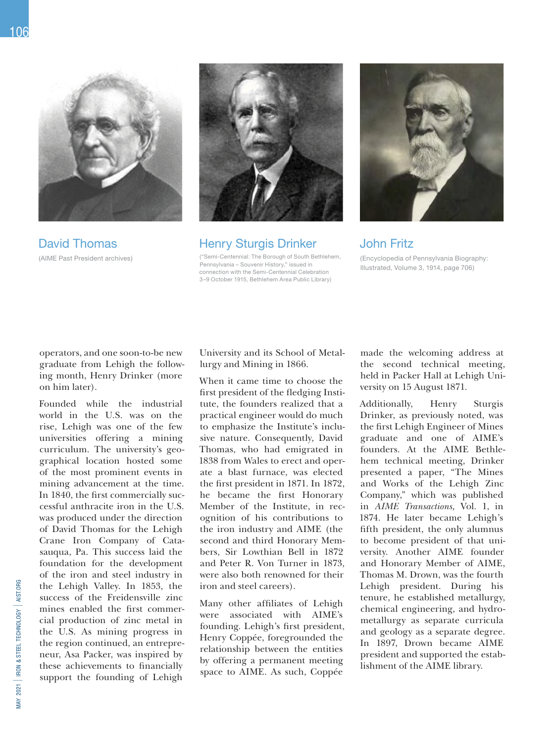

David Thomas (AIME Past President archives)



Henry Sturgis Drinker

("Semi-Centennial: The Borough of South Bethlehem, Pennsylvania – Souvenir History," issued in connection with the Semi-Centennial Celebration 3–9 October 1915, Bethlehem Area Public Library)



## John Fritz

(Encyclopedia of Pennsylvania Biography: Illustrated, Volume 3, 1914, page 706)

operators, and one soon-to-be new graduate from Lehigh the following month, Henry Drinker (more on him later).

Founded while the industrial world in the U.S. was on the rise, Lehigh was one of the few universities offering a mining curriculum. The university's geographical location hosted some of the most prominent events in mining advancement at the time. In 1840, the first commercially successful anthracite iron in the U.S. was produced under the direction of David Thomas for the Lehigh Crane Iron Company of Catasauqua, Pa. This success laid the foundation for the development of the iron and steel industry in the Lehigh Valley. In 1853, the success of the Freidensville zinc mines enabled the first commercial production of zinc metal in the U.S. As mining progress in the region continued, an entrepreneur, Asa Packer, was inspired by these achievements to financially support the founding of Lehigh

University and its School of Metallurgy and Mining in 1866.

When it came time to choose the first president of the fledging Institute, the founders realized that a practical engineer would do much to emphasize the Institute's inclusive nature. Consequently, David Thomas, who had emigrated in 1838 from Wales to erect and operate a blast furnace, was elected the first president in 1871. In 1872, he became the first Honorary Member of the Institute, in recognition of his contributions to the iron industry and AIME (the second and third Honorary Members, Sir Lowthian Bell in 1872 and Peter R. Von Turner in 1873, were also both renowned for their iron and steel careers).

Many other affiliates of Lehigh were associated with AIME's founding. Lehigh's first president, Henry Coppée, foregrounded the relationship between the entities by offering a permanent meeting space to AIME. As such, Coppée

made the welcoming address at the second technical meeting, held in Packer Hall at Lehigh University on 15 August 1871.

Additionally, Henry Sturgis Drinker, as previously noted, was the first Lehigh Engineer of Mines graduate and one of AIME's founders. At the AIME Bethlehem technical meeting, Drinker presented a paper, "The Mines and Works of the Lehigh Zinc Company," which was published in *AIME Transactions,* Vol. 1, in 1874. He later became Lehigh's fifth president, the only alumnus to become president of that university. Another AIME founder and Honorary Member of AIME, Thomas M. Drown, was the fourth Lehigh president. During his tenure, he established metallurgy, chemical engineering, and hydrometallurgy as separate curricula and geology as a separate degree. In 1897, Drown became AIME president and supported the establishment of the AIME library.